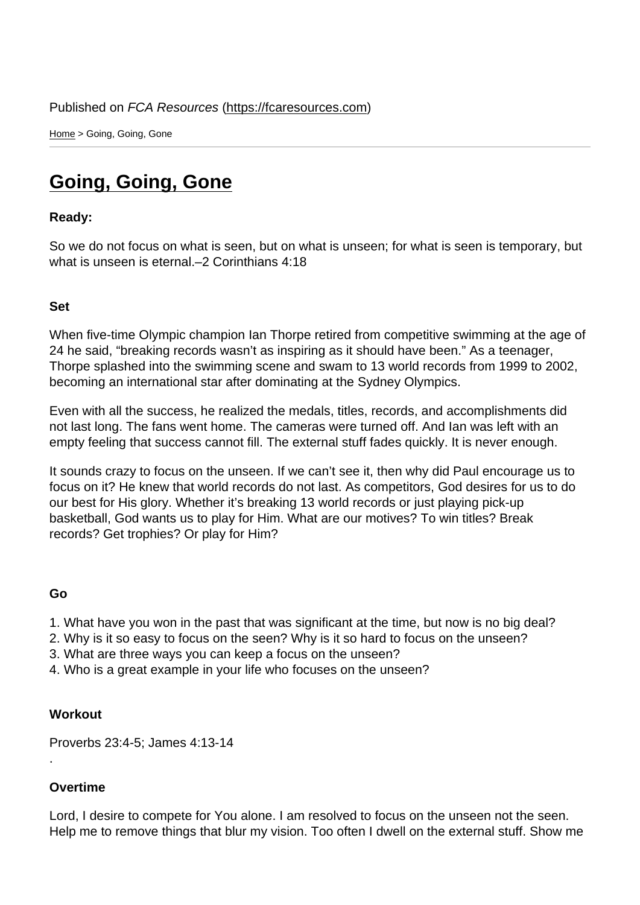Home > Going, Going, Gone

## [Go](https://fcaresources.com/)ing, Going, Gone

Ready:

[So we do not focus on what is se](https://fcaresources.com/devotional/going-going-gone-0)en, but on what is unseen; for what is seen is temporary, but what is unseen is eternal.–2 Corinthians 4:18

Set

When five-time Olympic champion Ian Thorpe retired from competitive swimming at the age of 24 he said, "breaking records wasn't as inspiring as it should have been." As a teenager, Thorpe splashed into the swimming scene and swam to 13 world records from 1999 to 2002, becoming an international star after dominating at the Sydney Olympics.

Even with all the success, he realized the medals, titles, records, and accomplishments did not last long. The fans went home. The cameras were turned off. And Ian was left with an empty feeling that success cannot fill. The external stuff fades quickly. It is never enough.

It sounds crazy to focus on the unseen. If we can't see it, then why did Paul encourage us to focus on it? He knew that world records do not last. As competitors, God desires for us to do our best for His glory. Whether it's breaking 13 world records or just playing pick-up basketball, God wants us to play for Him. What are our motives? To win titles? Break records? Get trophies? Or play for Him?

## Go

- 1. What have you won in the past that was significant at the time, but now is no big deal?
- 2. Why is it so easy to focus on the seen? Why is it so hard to focus on the unseen?
- 3. What are three ways you can keep a focus on the unseen?
- 4. Who is a great example in your life who focuses on the unseen?

**Workout** 

Proverbs 23:4-5; James 4:13-14

## Overtime

.

Lord, I desire to compete for You alone. I am resolved to focus on the unseen not the seen. Help me to remove things that blur my vision. Too often I dwell on the external stuff. Show me